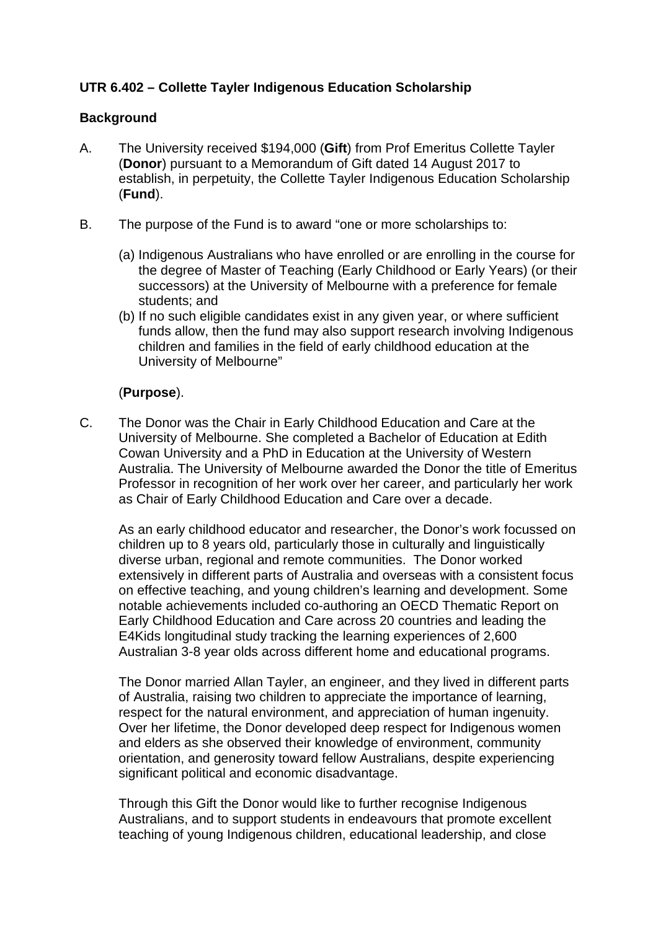# **UTR 6.402 – Collette Tayler Indigenous Education Scholarship**

#### **Background**

- A. The University received \$194,000 (**Gift**) from Prof Emeritus Collette Tayler (**Donor**) pursuant to a Memorandum of Gift dated 14 August 2017 to establish, in perpetuity, the Collette Tayler Indigenous Education Scholarship (**Fund**).
- B. The purpose of the Fund is to award "one or more scholarships to:
	- (a) Indigenous Australians who have enrolled or are enrolling in the course for the degree of Master of Teaching (Early Childhood or Early Years) (or their successors) at the University of Melbourne with a preference for female students; and
	- (b) If no such eligible candidates exist in any given year, or where sufficient funds allow, then the fund may also support research involving Indigenous children and families in the field of early childhood education at the University of Melbourne"

## (**Purpose**).

C. The Donor was the Chair in Early Childhood Education and Care at the University of Melbourne. She completed a Bachelor of Education at Edith Cowan University and a PhD in Education at the University of Western Australia. The University of Melbourne awarded the Donor the title of Emeritus Professor in recognition of her work over her career, and particularly her work as Chair of Early Childhood Education and Care over a decade.

As an early childhood educator and researcher, the Donor's work focussed on children up to 8 years old, particularly those in culturally and linguistically diverse urban, regional and remote communities. The Donor worked extensively in different parts of Australia and overseas with a consistent focus on effective teaching, and young children's learning and development. Some notable achievements included co-authoring an OECD Thematic Report on Early Childhood Education and Care across 20 countries and leading the E4Kids longitudinal study tracking the learning experiences of 2,600 Australian 3-8 year olds across different home and educational programs.

The Donor married Allan Tayler, an engineer, and they lived in different parts of Australia, raising two children to appreciate the importance of learning, respect for the natural environment, and appreciation of human ingenuity. Over her lifetime, the Donor developed deep respect for Indigenous women and elders as she observed their knowledge of environment, community orientation, and generosity toward fellow Australians, despite experiencing significant political and economic disadvantage.

Through this Gift the Donor would like to further recognise Indigenous Australians, and to support students in endeavours that promote excellent teaching of young Indigenous children, educational leadership, and close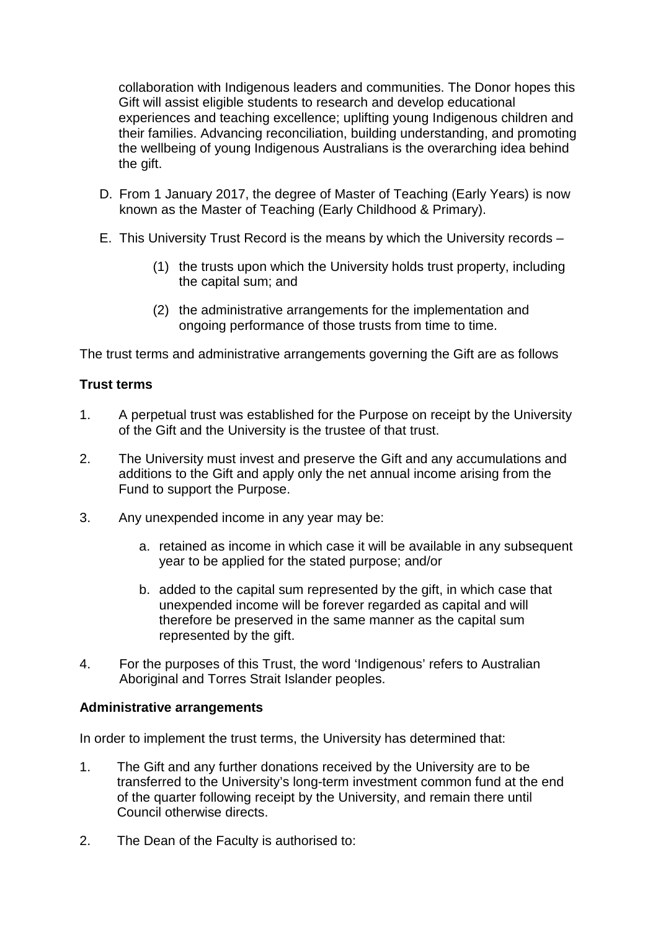collaboration with Indigenous leaders and communities. The Donor hopes this Gift will assist eligible students to research and develop educational experiences and teaching excellence; uplifting young Indigenous children and their families. Advancing reconciliation, building understanding, and promoting the wellbeing of young Indigenous Australians is the overarching idea behind the gift.

- D. From 1 January 2017, the degree of Master of Teaching (Early Years) is now known as the Master of Teaching (Early Childhood & Primary).
- E. This University Trust Record is the means by which the University records
	- (1) the trusts upon which the University holds trust property, including the capital sum; and
	- (2) the administrative arrangements for the implementation and ongoing performance of those trusts from time to time.

The trust terms and administrative arrangements governing the Gift are as follows

## **Trust terms**

- 1. A perpetual trust was established for the Purpose on receipt by the University of the Gift and the University is the trustee of that trust.
- 2. The University must invest and preserve the Gift and any accumulations and additions to the Gift and apply only the net annual income arising from the Fund to support the Purpose.
- 3. Any unexpended income in any year may be:
	- a. retained as income in which case it will be available in any subsequent year to be applied for the stated purpose; and/or
	- b. added to the capital sum represented by the gift, in which case that unexpended income will be forever regarded as capital and will therefore be preserved in the same manner as the capital sum represented by the gift.
- 4. For the purposes of this Trust, the word 'Indigenous' refers to Australian Aboriginal and Torres Strait Islander peoples.

#### **Administrative arrangements**

In order to implement the trust terms, the University has determined that:

- 1. The Gift and any further donations received by the University are to be transferred to the University's long-term investment common fund at the end of the quarter following receipt by the University, and remain there until Council otherwise directs.
- 2. The Dean of the Faculty is authorised to: